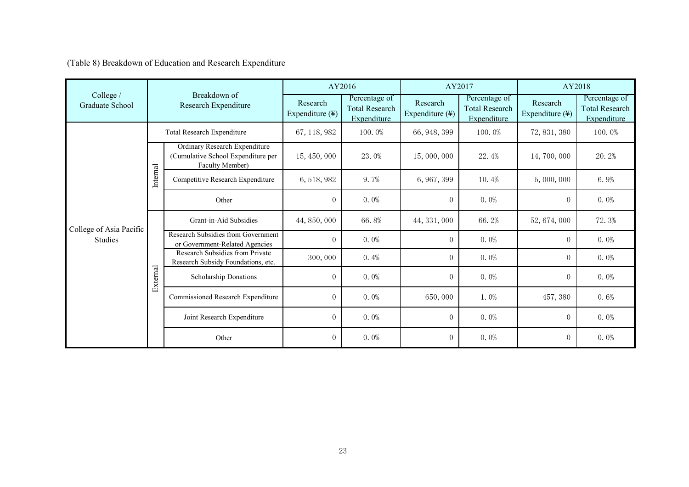(Table 8) Breakdown of Education and Research Expenditure

|                              | Breakdown of<br>Research Expenditure |                                                                                        | AY2016                                  |                                                       | AY2017                      |                                                       | AY2018                                  |                                                       |
|------------------------------|--------------------------------------|----------------------------------------------------------------------------------------|-----------------------------------------|-------------------------------------------------------|-----------------------------|-------------------------------------------------------|-----------------------------------------|-------------------------------------------------------|
| College /<br>Graduate School |                                      |                                                                                        | Research<br>Expenditure $(\frac{1}{2})$ | Percentage of<br><b>Total Research</b><br>Expenditure | Research<br>Expenditure (¥) | Percentage of<br><b>Total Research</b><br>Expenditure | Research<br>Expenditure $(\frac{1}{2})$ | Percentage of<br><b>Total Research</b><br>Expenditure |
|                              | Total Research Expenditure           |                                                                                        | 67, 118, 982                            | 100.0%                                                | 66, 948, 399                | 100.0%                                                | 72, 831, 380                            | 100.0%                                                |
|                              | Internal                             | Ordinary Research Expenditure<br>(Cumulative School Expenditure per<br>Faculty Member) | 15, 450, 000                            | 23.0%                                                 | 15,000,000                  | 22.4%                                                 | 14, 700, 000                            | 20.2%                                                 |
|                              |                                      | Competitive Research Expenditure                                                       | 6, 518, 982                             | 9.7%                                                  | 6, 967, 399                 | 10.4%                                                 | 5,000,000                               | 6.9%                                                  |
|                              |                                      | Other                                                                                  | $\overline{0}$                          | $0.0\%$                                               | $\boldsymbol{0}$            | $0.0\%$                                               | $\overline{0}$                          | $0.0\%$                                               |
| College of Asia Pacific      | External                             | Grant-in-Aid Subsidies                                                                 | 44, 850, 000                            | 66.8%                                                 | 44, 331, 000                | 66.2%                                                 | 52, 674, 000                            | 72.3%                                                 |
| <b>Studies</b>               |                                      | Research Subsidies from Government<br>or Government-Related Agencies                   | $\overline{0}$                          | $0.0\%$                                               | $\theta$                    | $0.0\%$                                               | $\overline{0}$                          | $0.0\%$                                               |
|                              |                                      | Research Subsidies from Private<br>Research Subsidy Foundations, etc.                  | 300,000                                 | 0.4%                                                  | $\mathbf{0}$                | $0.0\%$                                               | $\overline{0}$                          | $0.0\%$                                               |
|                              |                                      | Scholarship Donations                                                                  | $\Omega$                                | $0.0\%$                                               | $\mathbf{0}$                | $0.0\%$                                               | $\overline{0}$                          | $0.0\%$                                               |
|                              |                                      | Commissioned Research Expenditure                                                      | $\overline{0}$                          | $0.0\%$                                               | 650,000                     | $1.0\%$                                               | 457, 380                                | 0.6%                                                  |
|                              |                                      | Joint Research Expenditure                                                             | $\overline{0}$                          | $0.0\%$                                               | $\overline{0}$              | $0.0\%$                                               | $\overline{0}$                          | $0.0\%$                                               |
|                              |                                      | Other                                                                                  | $\overline{0}$                          | $0.0\%$                                               | $\mathbf{0}$                | $0.0\%$                                               | $\overline{0}$                          | $0.0\%$                                               |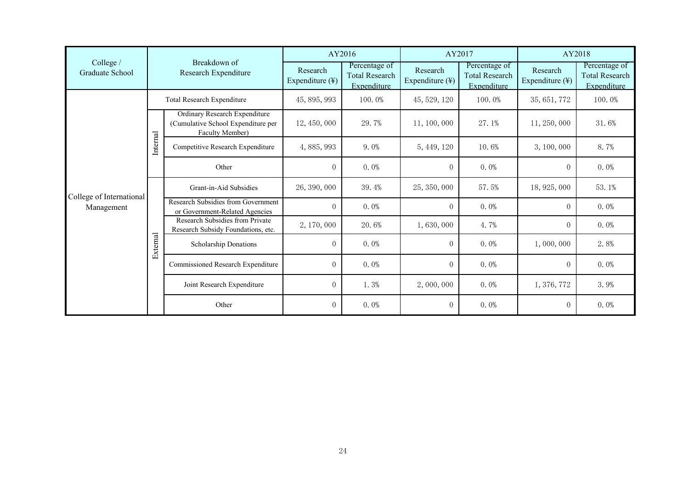|                              | Breakdown of<br>Research Expenditure |                                                                                        | AY2016                      |                                                       | AY2017                      |                                                       | AY2018                                  |                                                       |
|------------------------------|--------------------------------------|----------------------------------------------------------------------------------------|-----------------------------|-------------------------------------------------------|-----------------------------|-------------------------------------------------------|-----------------------------------------|-------------------------------------------------------|
| College /<br>Graduate School |                                      |                                                                                        | Research<br>Expenditure (¥) | Percentage of<br><b>Total Research</b><br>Expenditure | Research<br>Expenditure (¥) | Percentage of<br><b>Total Research</b><br>Expenditure | Research<br>Expenditure $(\frac{1}{2})$ | Percentage of<br><b>Total Research</b><br>Expenditure |
|                              | Total Research Expenditure           |                                                                                        | 45, 895, 993                | 100.0%                                                | 45, 529, 120                | 100.0%                                                | 35, 651, 772                            | 100.0%                                                |
|                              | Internal                             | Ordinary Research Expenditure<br>(Cumulative School Expenditure per<br>Faculty Member) | 12, 450, 000                | 29.7%                                                 | 11, 100, 000                | 27.1%                                                 | 11, 250, 000                            | 31.6%                                                 |
|                              |                                      | Competitive Research Expenditure                                                       | 4, 885, 993                 | $9.0\%$                                               | 5, 449, 120                 | 10.6%                                                 | 3, 100, 000                             | 8.7%                                                  |
| College of International     |                                      | Other                                                                                  | $\overline{0}$              | $0.0\%$                                               | $\overline{0}$              | $0.0\%$                                               | $\overline{0}$                          | $0.0\%$                                               |
|                              | External                             | Grant-in-Aid Subsidies                                                                 | 26, 390, 000                | 39.4%                                                 | 25, 350, 000                | 57.5%                                                 | 18, 925, 000                            | 53.1%                                                 |
| Management                   |                                      | Research Subsidies from Government<br>or Government-Related Agencies                   | $\Omega$                    | $0.0\%$                                               | $\theta$                    | $0.0\%$                                               | $\overline{0}$                          | $0.0\%$                                               |
|                              |                                      | Research Subsidies from Private<br>Research Subsidy Foundations, etc.                  | 2, 170, 000                 | 20.6%                                                 | 1,630,000                   | 4.7%                                                  | $\overline{0}$                          | $0.0\%$                                               |
|                              |                                      | Scholarship Donations                                                                  | $\overline{0}$              | $0.0\%$                                               | $\theta$                    | $0.0\%$                                               | 1,000,000                               | 2.8%                                                  |
|                              |                                      | Commissioned Research Expenditure                                                      | $\overline{0}$              | $0.0\%$                                               | $\overline{0}$              | $0.0\%$                                               | $\overline{0}$                          | $0.0\%$                                               |
|                              |                                      | Joint Research Expenditure                                                             | $\overline{0}$              | 1.3%                                                  | 2,000,000                   | $0.0\%$                                               | 1, 376, 772                             | 3.9%                                                  |
|                              |                                      | Other                                                                                  | $\overline{0}$              | $0.0\%$                                               | $\overline{0}$              | $0.0\%$                                               | $\overline{0}$                          | $0.0\%$                                               |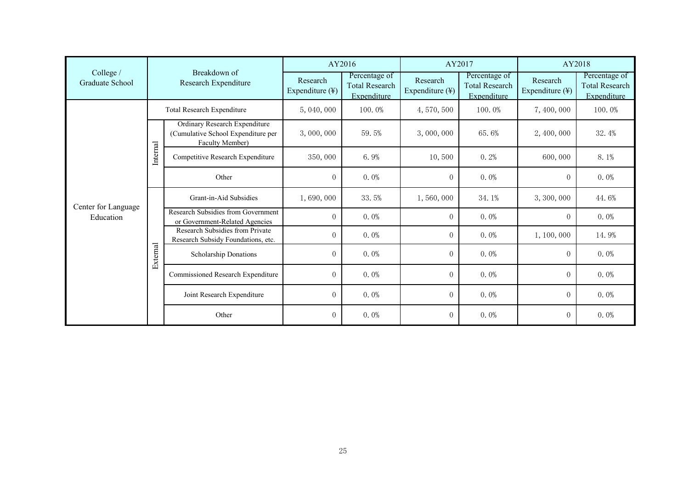|                                  | Breakdown of<br>Research Expenditure |                                                                                               | AY2016                      |                                                              | AY2017                      |                                                       | AY2018                                  |                                                       |
|----------------------------------|--------------------------------------|-----------------------------------------------------------------------------------------------|-----------------------------|--------------------------------------------------------------|-----------------------------|-------------------------------------------------------|-----------------------------------------|-------------------------------------------------------|
| College /<br>Graduate School     |                                      |                                                                                               | Research<br>Expenditure (¥) | Percentage of<br><b>Total Research</b><br><b>Expenditure</b> | Research<br>Expenditure (¥) | Percentage of<br><b>Total Research</b><br>Expenditure | Research<br>Expenditure $(\frac{1}{2})$ | Percentage of<br><b>Total Research</b><br>Expenditure |
|                                  | Total Research Expenditure           |                                                                                               | 5,040,000                   | 100.0%                                                       | 4,570,500                   | 100.0%                                                | 7, 400, 000                             | 100.0%                                                |
|                                  | Internal                             | <b>Ordinary Research Expenditure</b><br>(Cumulative School Expenditure per<br>Faculty Member) | 3,000,000                   | 59.5%                                                        | 3,000,000                   | 65.6%                                                 | 2, 400, 000                             | 32.4%                                                 |
|                                  |                                      | Competitive Research Expenditure                                                              | 350,000                     | 6.9%                                                         | 10,500                      | 0.2%                                                  | 600,000                                 | $8.1\%$                                               |
|                                  |                                      | Other                                                                                         | $\overline{0}$              | $0.0\%$                                                      | $\overline{0}$              | $0.0\%$                                               | $\overline{0}$                          | $0.0\%$                                               |
|                                  | External                             | Grant-in-Aid Subsidies                                                                        | 1,690,000                   | 33.5%                                                        | 1,560,000                   | 34.1%                                                 | 3, 300, 000                             | 44.6%                                                 |
| Center for Language<br>Education |                                      | Research Subsidies from Government<br>or Government-Related Agencies                          | $\overline{0}$              | $0.0\%$                                                      | $\theta$                    | $0.0\%$                                               | $\overline{0}$                          | $0.0\%$                                               |
|                                  |                                      | Research Subsidies from Private<br>Research Subsidy Foundations, etc.                         | $\overline{0}$              | $0.0\%$                                                      | $\theta$                    | $0.0\%$                                               | 1, 100, 000                             | 14.9%                                                 |
|                                  |                                      | Scholarship Donations                                                                         | $\Omega$                    | $0.0\%$                                                      | $\theta$                    | $0.0\%$                                               | $\overline{0}$                          | $0.0\%$                                               |
|                                  |                                      | Commissioned Research Expenditure                                                             | $\overline{0}$              | $0.0\%$                                                      | $\theta$                    | $0.0\%$                                               | $\overline{0}$                          | $0.0\%$                                               |
|                                  |                                      | Joint Research Expenditure                                                                    | $\overline{0}$              | $0.0\%$                                                      | $\theta$                    | $0.0\%$                                               | $\overline{0}$                          | $0.0\%$                                               |
|                                  |                                      | Other                                                                                         | $\overline{0}$              | $0.0\%$                                                      | $\boldsymbol{0}$            | $0.0\%$                                               | $\overline{0}$                          | $0.0\%$                                               |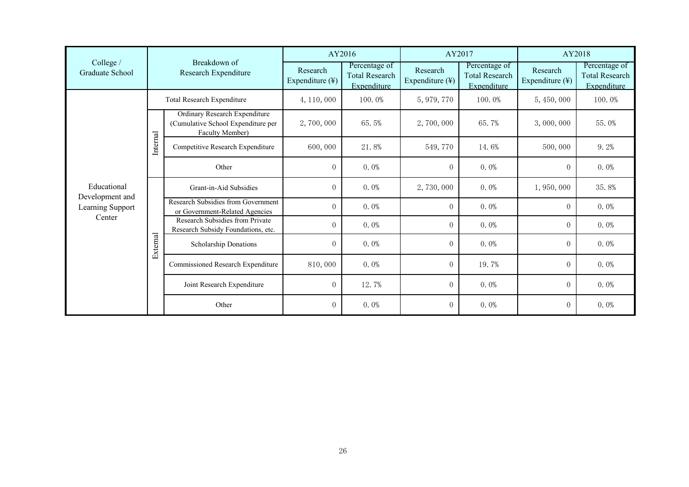|                                     |                                      |                                                                                               | AY2016                      |                                                       | AY2017                                  |                                                       | AY2018                      |                                                       |
|-------------------------------------|--------------------------------------|-----------------------------------------------------------------------------------------------|-----------------------------|-------------------------------------------------------|-----------------------------------------|-------------------------------------------------------|-----------------------------|-------------------------------------------------------|
| College /<br>Graduate School        | Breakdown of<br>Research Expenditure |                                                                                               | Research<br>Expenditure (¥) | Percentage of<br><b>Total Research</b><br>Expenditure | Research<br>Expenditure $(\frac{1}{2})$ | Percentage of<br><b>Total Research</b><br>Expenditure | Research<br>Expenditure (¥) | Percentage of<br><b>Total Research</b><br>Expenditure |
|                                     | Total Research Expenditure           |                                                                                               | 4, 110, 000                 | 100.0%                                                | 5, 979, 770                             | 100.0%                                                | 5, 450, 000                 | 100.0%                                                |
| Educational                         | Internal                             | <b>Ordinary Research Expenditure</b><br>(Cumulative School Expenditure per<br>Faculty Member) | 2,700,000                   | 65.5%                                                 | 2,700,000                               | 65.7%                                                 | 3,000,000                   | 55.0%                                                 |
|                                     |                                      | Competitive Research Expenditure                                                              | 600,000                     | 21.8%                                                 | 549,770                                 | 14.6%                                                 | 500,000                     | 9.2%                                                  |
|                                     |                                      | Other                                                                                         | $\overline{0}$              | $0.0\%$                                               | $\overline{0}$                          | $0.0\%$                                               | $\overline{0}$              | $0.0\%$                                               |
|                                     | External                             | Grant-in-Aid Subsidies                                                                        | $\Omega$                    | $0.0\%$                                               | 2,730,000                               | $0.0\%$                                               | 1,950,000                   | 35.8%                                                 |
| Development and<br>Learning Support |                                      | Research Subsidies from Government<br>or Government-Related Agencies                          | $\Omega$                    | $0.0\%$                                               | $\overline{0}$                          | $0.0\%$                                               | $\Omega$                    | $0.0\%$                                               |
| Center                              |                                      | Research Subsidies from Private<br>Research Subsidy Foundations, etc.                         | $\overline{0}$              | $0.0\%$                                               | $\overline{0}$                          | $0.0\%$                                               | $\overline{0}$              | $0.0\%$                                               |
|                                     |                                      | Scholarship Donations                                                                         | $\Omega$                    | $0.0\%$                                               | $\overline{0}$                          | $0.0\%$                                               | $\overline{0}$              | $0.0\%$                                               |
|                                     |                                      | Commissioned Research Expenditure                                                             | 810,000                     | $0.0\%$                                               | $\overline{0}$                          | 19.7%                                                 | $\Omega$                    | $0.0\%$                                               |
|                                     |                                      | Joint Research Expenditure                                                                    | $\Omega$                    | 12.7%                                                 | $\Omega$                                | $0.0\%$                                               | $\overline{0}$              | $0.0\%$                                               |
|                                     |                                      | Other                                                                                         | $\overline{0}$              | $0.0\%$                                               | $\overline{0}$                          | $0.0\%$                                               | $\overline{0}$              | $0.0\%$                                               |